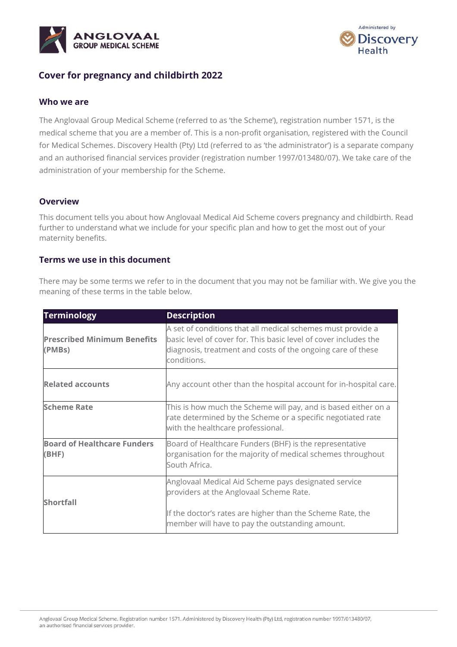



## **Cover for pregnancy and childbirth 2022**

#### **Who we are**

The Anglovaal Group Medical Scheme (referred to as 'the Scheme'), registration number 1571, is the medical scheme that you are a member of. This is a non-profit organisation, registered with the Council for Medical Schemes. Discovery Health (Pty) Ltd (referred to as 'the administrator') is a separate company and an authorised financial services provider (registration number 1997/013480/07). We take care of the administration of your membership for the Scheme.

#### **Overview**

This document tells you about how Anglovaal Medical Aid Scheme covers pregnancy and childbirth. Read further to understand what we include for your specific plan and how to get the most out of your maternity benefits.

#### **Terms we use in this document**

There may be some terms we refer to in the document that you may not be familiar with. We give you the meaning of these terms in the table below.

| <b>Terminology</b>                           | <b>Description</b>                                                                                                                                                                                            |
|----------------------------------------------|---------------------------------------------------------------------------------------------------------------------------------------------------------------------------------------------------------------|
| <b>Prescribed Minimum Benefits</b><br>(PMBs) | A set of conditions that all medical schemes must provide a<br>basic level of cover for. This basic level of cover includes the<br>diagnosis, treatment and costs of the ongoing care of these<br>conditions. |
| <b>Related accounts</b>                      | Any account other than the hospital account for in-hospital care.                                                                                                                                             |
| <b>Scheme Rate</b>                           | This is how much the Scheme will pay, and is based either on a<br>rate determined by the Scheme or a specific negotiated rate<br>with the healthcare professional.                                            |
| <b>Board of Healthcare Funders</b><br>(BHF)  | Board of Healthcare Funders (BHF) is the representative<br>organisation for the majority of medical schemes throughout<br>South Africa.                                                                       |
| <b>Shortfall</b>                             | Anglovaal Medical Aid Scheme pays designated service<br>providers at the Anglovaal Scheme Rate.                                                                                                               |
|                                              | If the doctor's rates are higher than the Scheme Rate, the<br>member will have to pay the outstanding amount.                                                                                                 |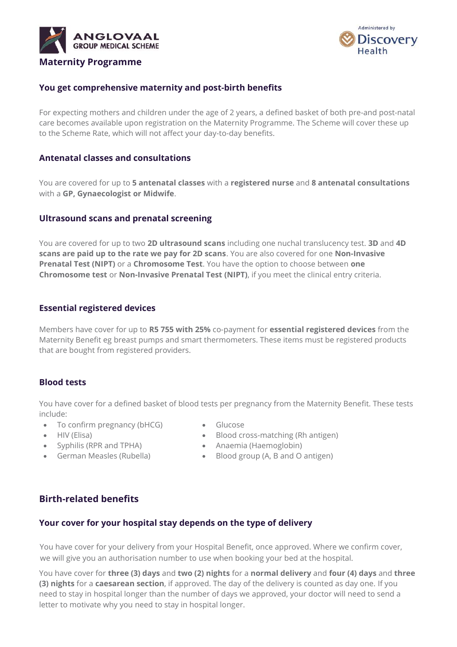



## **You get comprehensive maternity and post-birth benefits**

For expecting mothers and children under the age of 2 years, a defined basket of both pre-and post-natal care becomes available upon registration on the Maternity Programme. The Scheme will cover these up to the Scheme Rate, which will not affect your day-to-day benefits.

#### **Antenatal classes and consultations**

You are covered for up to **5 antenatal classes** with a **registered nurse** and **8 antenatal consultations** with a **GP, Gynaecologist or Midwife**.

#### **Ultrasound scans and prenatal screening**

You are covered for up to two **2D ultrasound scans** including one nuchal translucency test. **3D** and **4D scans are paid up to the rate we pay for 2D scans**. You are also covered for one **Non-Invasive Prenatal Test (NIPT)** or a **Chromosome Test**. You have the option to choose between **one Chromosome test** or **Non-Invasive Prenatal Test (NIPT)**, if you meet the clinical entry criteria.

#### **Essential registered devices**

Members have cover for up to **R5 755 with 25%** co-payment for **essential registered devices** from the Maternity Benefit eg breast pumps and smart thermometers. These items must be registered products that are bought from registered providers.

#### **Blood tests**

You have cover for a defined basket of blood tests per pregnancy from the Maternity Benefit. These tests include:

- To confirm pregnancy (bHCG) Glucose
- 
- Syphilis (RPR and TPHA) Anaemia (Haemoglobin)
- 
- 
- HIV (Elisa) Blood cross-matching (Rh antigen)
	-
- German Measles (Rubella) Blood group (A, B and O antigen)

## **Birth-related benefits**

#### **Your cover for your hospital stay depends on the type of delivery**

You have cover for your delivery from your Hospital Benefit, once approved. Where we confirm cover, we will give you an authorisation number to use when booking your bed at the hospital.

You have cover for **three (3) days** and **two (2) nights** for a **normal delivery** and **four (4) days** and **three (3) nights** for a **caesarean section**, if approved. The day of the delivery is counted as day one. If you need to stay in hospital longer than the number of days we approved, your doctor will need to send a letter to motivate why you need to stay in hospital longer.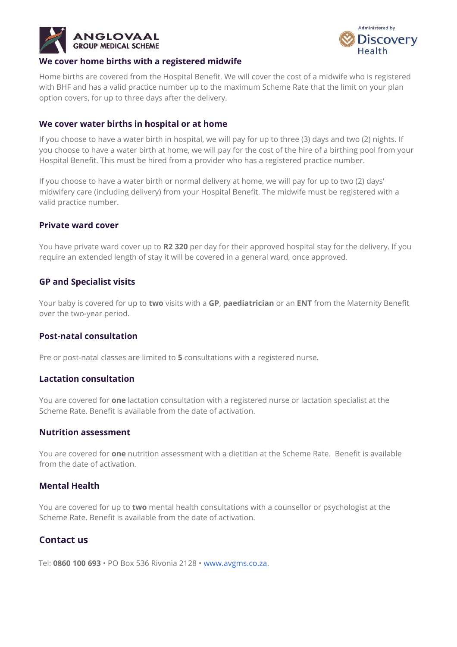



#### **We cover home births with a registered midwife**

Home births are covered from the Hospital Benefit. We will cover the cost of a midwife who is registered with BHF and has a valid practice number up to the maximum Scheme Rate that the limit on your plan option covers, for up to three days after the delivery.

## **We cover water births in hospital or at home**

If you choose to have a water birth in hospital, we will pay for up to three (3) days and two (2) nights. If you choose to have a water birth at home, we will pay for the cost of the hire of a birthing pool from your Hospital Benefit. This must be hired from a provider who has a registered practice number.

If you choose to have a water birth or normal delivery at home, we will pay for up to two (2) days' midwifery care (including delivery) from your Hospital Benefit. The midwife must be registered with a valid practice number.

## **Private ward cover**

You have private ward cover up to **R2 320** per day for their approved hospital stay for the delivery. If you require an extended length of stay it will be covered in a general ward, once approved.

## **GP and Specialist visits**

Your baby is covered for up to **two** visits with a **GP**, **paediatrician** or an **ENT** from the Maternity Benefit over the two-year period.

#### **Post-natal consultation**

Pre or post-natal classes are limited to **5** consultations with a registered nurse.

#### **Lactation consultation**

You are covered for **one** lactation consultation with a registered nurse or lactation specialist at the Scheme Rate. Benefit is available from the date of activation.

#### **Nutrition assessment**

You are covered for **one** nutrition assessment with a dietitian at the Scheme Rate. Benefit is available from the date of activation.

#### **Mental Health**

You are covered for up to **two** mental health consultations with a counsellor or psychologist at the Scheme Rate. Benefit is available from the date of activation.

## **Contact us**

Tel: **0860 100 693** • PO Box 536 Rivonia 2128 • [www.avgms.co.za.](http://www.avgms.co.za/)